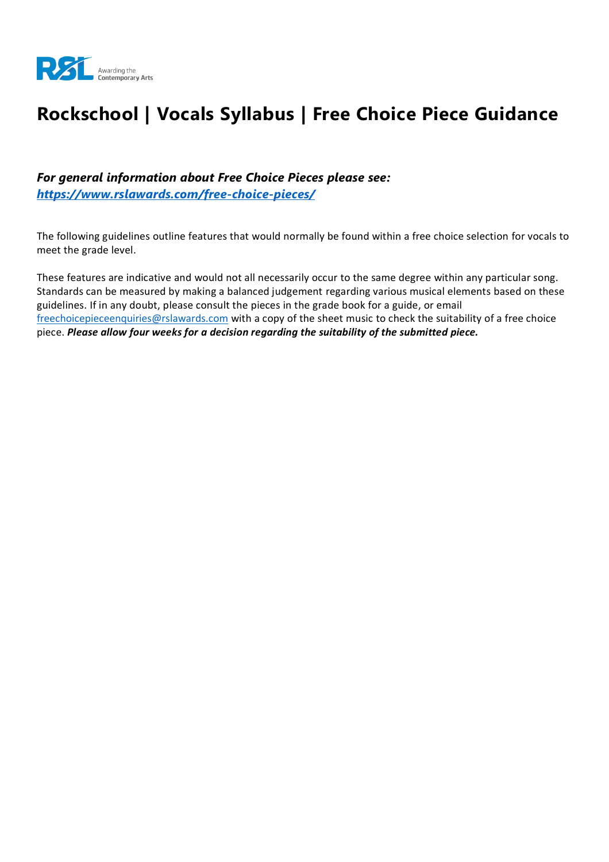

# **Rockschool | Vocals Syllabus | Free Choice Piece Guidance**

*For general information about Free Choice Pieces please see: <https://www.rslawards.com/free-choice-pieces/>*

The following guidelines outline features that would normally be found within a free choice selection for vocals to meet the grade level.

These features are indicative and would not all necessarily occur to the same degree within any particular song. Standards can be measured by making a balanced judgement regarding various musical elements based on these guidelines. If in any doubt, please consult the pieces in the grade book for a guide, or email [freechoicepieceenquiries@rslawards.com](mailto:freechoicepieceenquiries@rslawards.com) with a copy of the sheet music to check the suitability of a free choice piece. *Please allow four weeks for a decision regarding the suitability of the submitted piece.*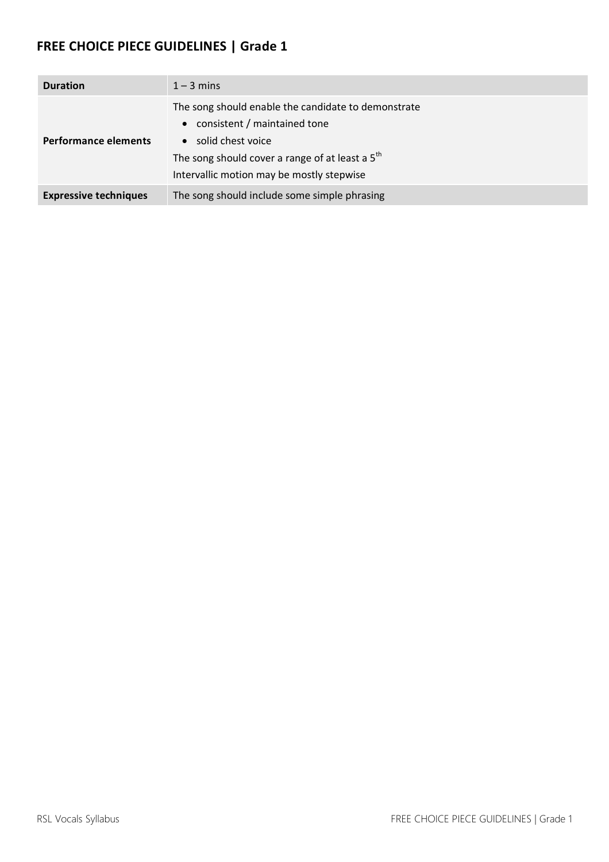| <b>Duration</b>              | $1 - 3$ mins                                                                                                                                                                                                 |
|------------------------------|--------------------------------------------------------------------------------------------------------------------------------------------------------------------------------------------------------------|
| <b>Performance elements</b>  | The song should enable the candidate to demonstrate<br>• consistent / maintained tone<br>• solid chest voice<br>The song should cover a range of at least a 5th<br>Intervallic motion may be mostly stepwise |
| <b>Expressive techniques</b> | The song should include some simple phrasing                                                                                                                                                                 |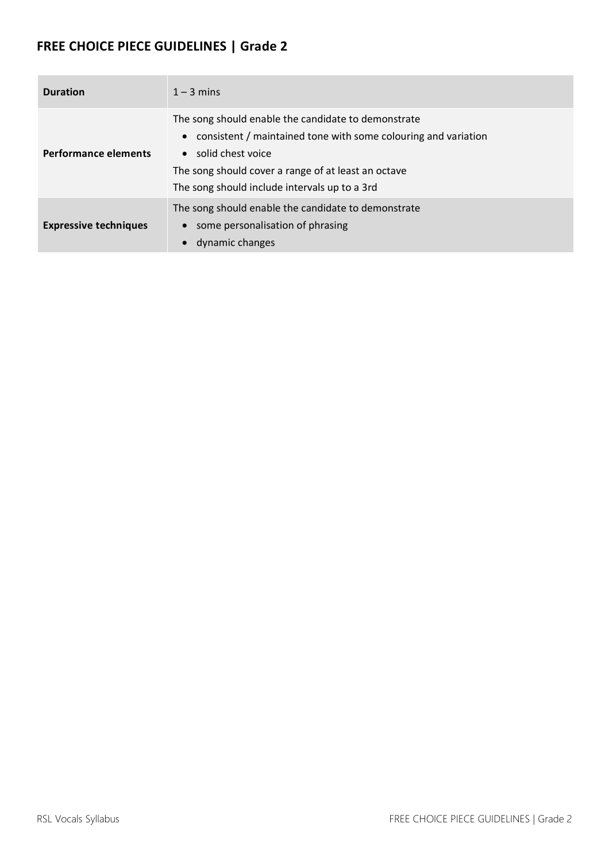| <b>Duration</b>              | $1 - 3$ mins                                                                                                                                                                                                                                           |
|------------------------------|--------------------------------------------------------------------------------------------------------------------------------------------------------------------------------------------------------------------------------------------------------|
| <b>Performance elements</b>  | The song should enable the candidate to demonstrate<br>• consistent / maintained tone with some colouring and variation<br>• solid chest voice<br>The song should cover a range of at least an octave<br>The song should include intervals up to a 3rd |
| <b>Expressive techniques</b> | The song should enable the candidate to demonstrate<br>some personalisation of phrasing<br>dynamic changes                                                                                                                                             |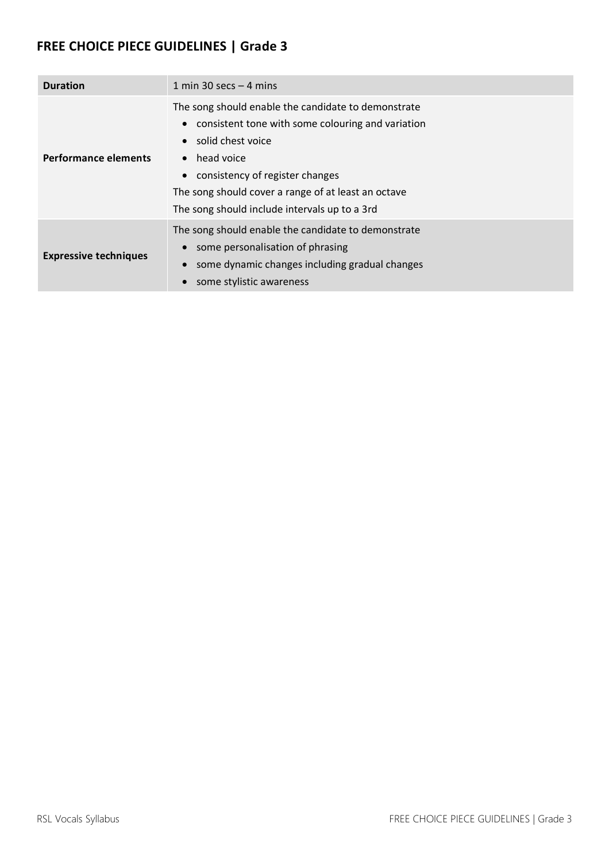| <b>Duration</b>              | 1 min 30 secs $-$ 4 mins                                                                                                                                                                                                                                                                             |
|------------------------------|------------------------------------------------------------------------------------------------------------------------------------------------------------------------------------------------------------------------------------------------------------------------------------------------------|
| <b>Performance elements</b>  | The song should enable the candidate to demonstrate<br>• consistent tone with some colouring and variation<br>solid chest voice<br>$\bullet$ head voice<br>• consistency of register changes<br>The song should cover a range of at least an octave<br>The song should include intervals up to a 3rd |
| <b>Expressive techniques</b> | The song should enable the candidate to demonstrate<br>some personalisation of phrasing<br>some dynamic changes including gradual changes<br>some stylistic awareness                                                                                                                                |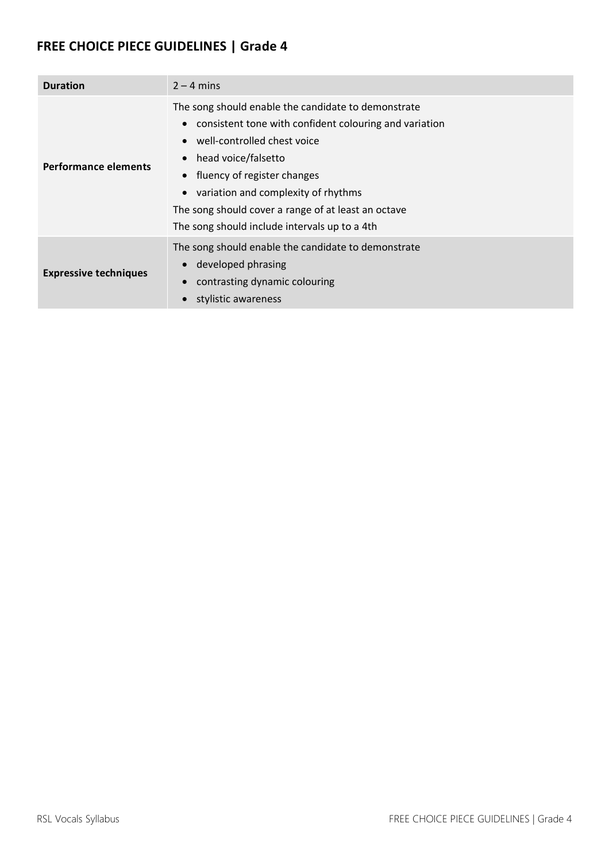| <b>Duration</b>              | $2 - 4$ mins                                                                                                                                                                                                                                                                                                                                      |
|------------------------------|---------------------------------------------------------------------------------------------------------------------------------------------------------------------------------------------------------------------------------------------------------------------------------------------------------------------------------------------------|
| Performance elements         | The song should enable the candidate to demonstrate<br>consistent tone with confident colouring and variation<br>well-controlled chest voice<br>head voice/falsetto<br>fluency of register changes<br>variation and complexity of rhythms<br>The song should cover a range of at least an octave<br>The song should include intervals up to a 4th |
| <b>Expressive techniques</b> | The song should enable the candidate to demonstrate<br>developed phrasing<br>contrasting dynamic colouring<br>stylistic awareness                                                                                                                                                                                                                 |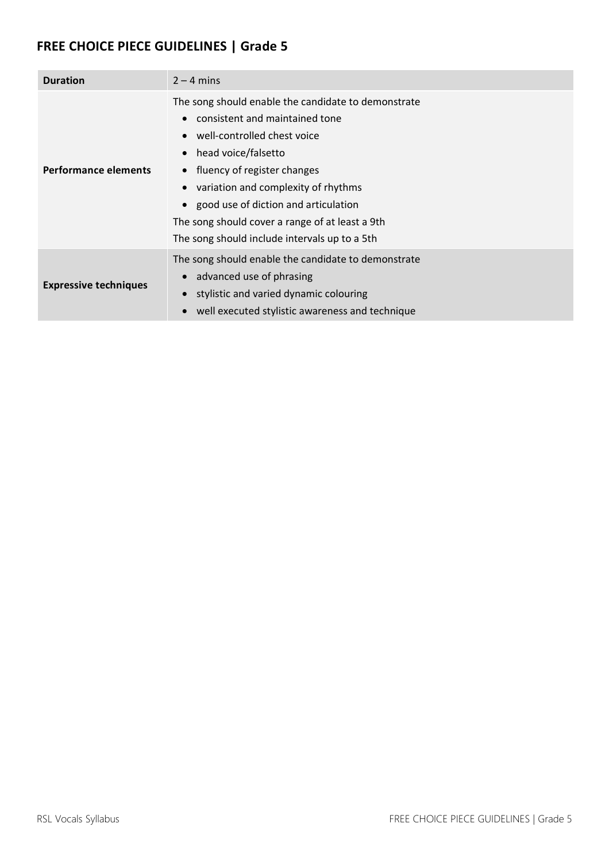| <b>Duration</b>              | $2 - 4$ mins                                                                                                                                                                                                                                                                                                                                                    |
|------------------------------|-----------------------------------------------------------------------------------------------------------------------------------------------------------------------------------------------------------------------------------------------------------------------------------------------------------------------------------------------------------------|
| <b>Performance elements</b>  | The song should enable the candidate to demonstrate<br>consistent and maintained tone<br>well-controlled chest voice<br>head voice/falsetto<br>• fluency of register changes<br>variation and complexity of rhythms<br>good use of diction and articulation<br>The song should cover a range of at least a 9th<br>The song should include intervals up to a 5th |
| <b>Expressive techniques</b> | The song should enable the candidate to demonstrate<br>advanced use of phrasing<br>stylistic and varied dynamic colouring<br>$\bullet$<br>well executed stylistic awareness and technique                                                                                                                                                                       |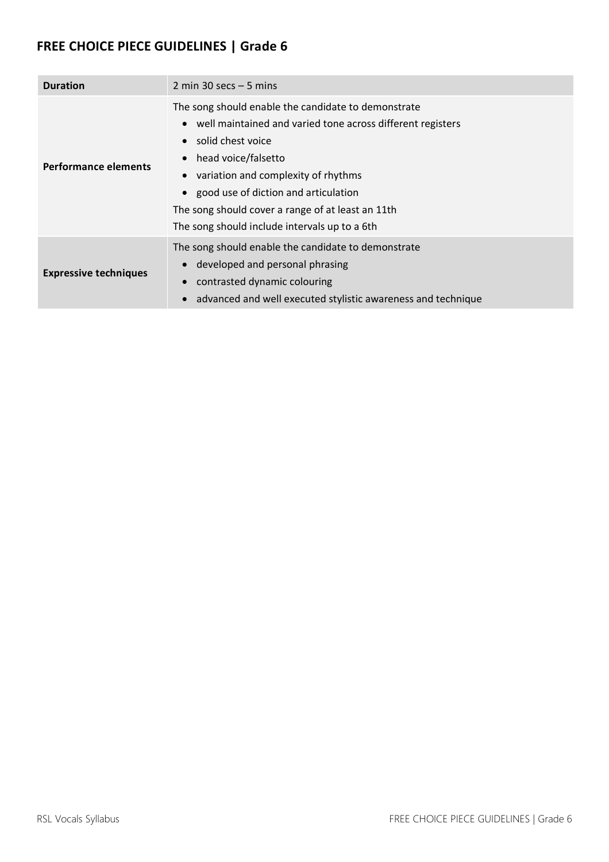| <b>Duration</b>              | 2 min 30 secs $-5$ mins                                                                                                                                                                                                                                                                                                                                |
|------------------------------|--------------------------------------------------------------------------------------------------------------------------------------------------------------------------------------------------------------------------------------------------------------------------------------------------------------------------------------------------------|
| <b>Performance elements</b>  | The song should enable the candidate to demonstrate<br>• well maintained and varied tone across different registers<br>solid chest voice<br>head voice/falsetto<br>variation and complexity of rhythms<br>• good use of diction and articulation<br>The song should cover a range of at least an 11th<br>The song should include intervals up to a 6th |
| <b>Expressive techniques</b> | The song should enable the candidate to demonstrate<br>developed and personal phrasing<br>contrasted dynamic colouring<br>advanced and well executed stylistic awareness and technique                                                                                                                                                                 |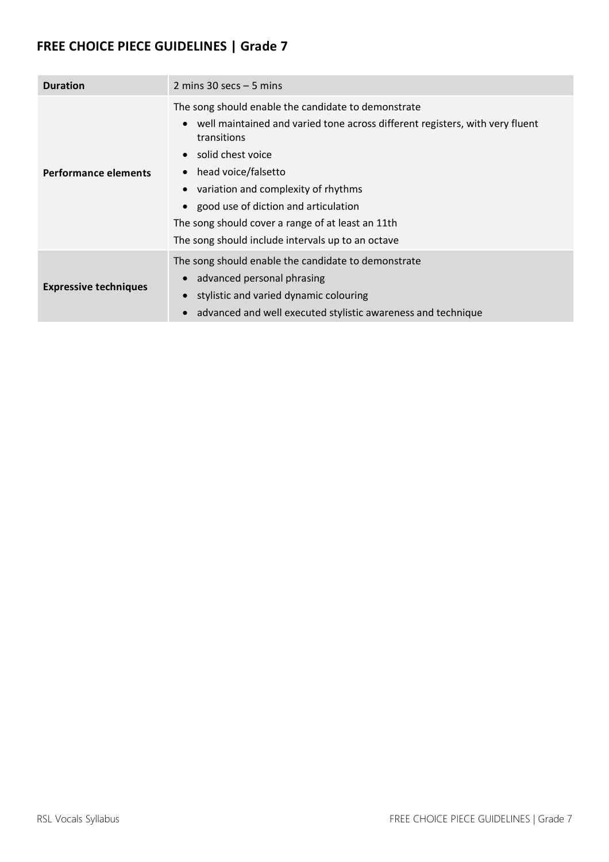| <b>Duration</b>              | 2 mins $30$ secs $-5$ mins                                                                                                                                                                                                                                                                                                                                                                |
|------------------------------|-------------------------------------------------------------------------------------------------------------------------------------------------------------------------------------------------------------------------------------------------------------------------------------------------------------------------------------------------------------------------------------------|
| Performance elements         | The song should enable the candidate to demonstrate<br>well maintained and varied tone across different registers, with very fluent<br>transitions<br>solid chest voice<br>head voice/falsetto<br>variation and complexity of rhythms<br>• good use of diction and articulation<br>The song should cover a range of at least an 11th<br>The song should include intervals up to an octave |
| <b>Expressive techniques</b> | The song should enable the candidate to demonstrate<br>advanced personal phrasing<br>$\bullet$<br>stylistic and varied dynamic colouring<br>advanced and well executed stylistic awareness and technique                                                                                                                                                                                  |